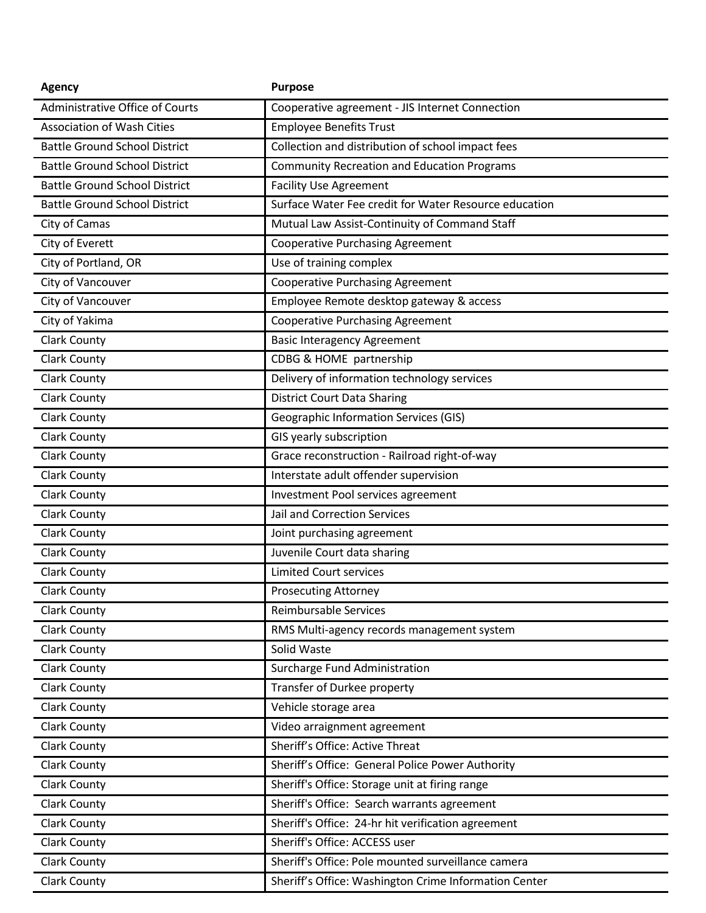| <b>Agency</b>                          | <b>Purpose</b>                                        |
|----------------------------------------|-------------------------------------------------------|
| <b>Administrative Office of Courts</b> | Cooperative agreement - JIS Internet Connection       |
| <b>Association of Wash Cities</b>      | <b>Employee Benefits Trust</b>                        |
| <b>Battle Ground School District</b>   | Collection and distribution of school impact fees     |
| <b>Battle Ground School District</b>   | <b>Community Recreation and Education Programs</b>    |
| <b>Battle Ground School District</b>   | <b>Facility Use Agreement</b>                         |
| <b>Battle Ground School District</b>   | Surface Water Fee credit for Water Resource education |
| City of Camas                          | Mutual Law Assist-Continuity of Command Staff         |
| City of Everett                        | <b>Cooperative Purchasing Agreement</b>               |
| City of Portland, OR                   | Use of training complex                               |
| City of Vancouver                      | <b>Cooperative Purchasing Agreement</b>               |
| City of Vancouver                      | Employee Remote desktop gateway & access              |
| City of Yakima                         | <b>Cooperative Purchasing Agreement</b>               |
| <b>Clark County</b>                    | <b>Basic Interagency Agreement</b>                    |
| <b>Clark County</b>                    | CDBG & HOME partnership                               |
| <b>Clark County</b>                    | Delivery of information technology services           |
| <b>Clark County</b>                    | <b>District Court Data Sharing</b>                    |
| <b>Clark County</b>                    | <b>Geographic Information Services (GIS)</b>          |
| <b>Clark County</b>                    | GIS yearly subscription                               |
| <b>Clark County</b>                    | Grace reconstruction - Railroad right-of-way          |
| <b>Clark County</b>                    | Interstate adult offender supervision                 |
| <b>Clark County</b>                    | Investment Pool services agreement                    |
| <b>Clark County</b>                    | Jail and Correction Services                          |
| <b>Clark County</b>                    | Joint purchasing agreement                            |
| <b>Clark County</b>                    | Juvenile Court data sharing                           |
| <b>Clark County</b>                    | <b>Limited Court services</b>                         |
| <b>Clark County</b>                    | <b>Prosecuting Attorney</b>                           |
| <b>Clark County</b>                    | Reimbursable Services                                 |
| <b>Clark County</b>                    | RMS Multi-agency records management system            |
| <b>Clark County</b>                    | Solid Waste                                           |
| <b>Clark County</b>                    | Surcharge Fund Administration                         |
| <b>Clark County</b>                    | Transfer of Durkee property                           |
| <b>Clark County</b>                    | Vehicle storage area                                  |
| <b>Clark County</b>                    | Video arraignment agreement                           |
| <b>Clark County</b>                    | Sheriff's Office: Active Threat                       |
| <b>Clark County</b>                    | Sheriff's Office: General Police Power Authority      |
| <b>Clark County</b>                    | Sheriff's Office: Storage unit at firing range        |
| <b>Clark County</b>                    | Sheriff's Office: Search warrants agreement           |
| <b>Clark County</b>                    | Sheriff's Office: 24-hr hit verification agreement    |
| <b>Clark County</b>                    | Sheriff's Office: ACCESS user                         |
| Clark County                           | Sheriff's Office: Pole mounted surveillance camera    |
| <b>Clark County</b>                    | Sheriff's Office: Washington Crime Information Center |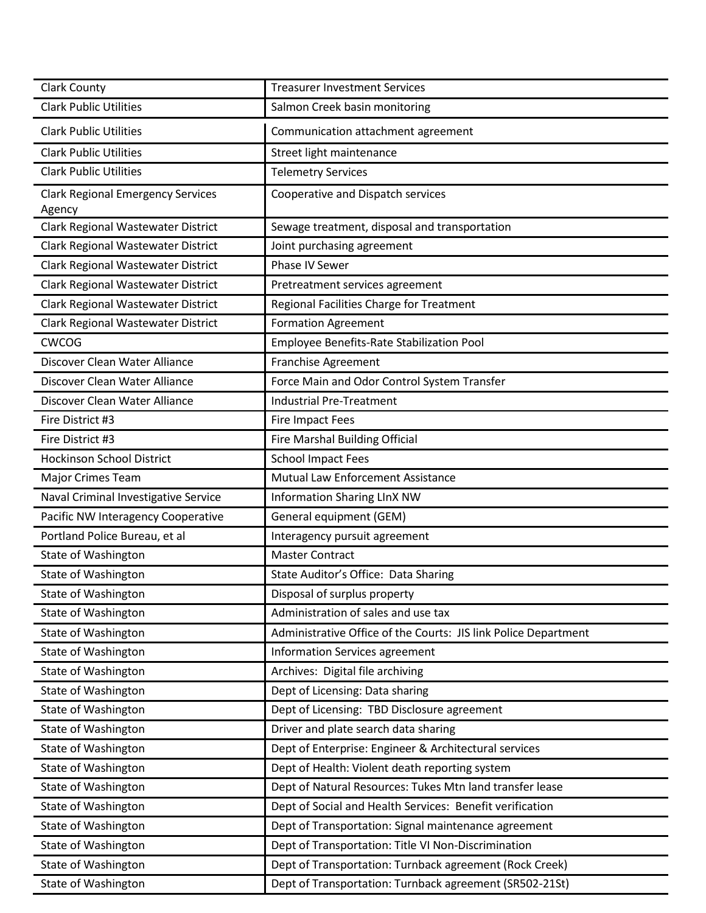| <b>Clark County</b>                                | <b>Treasurer Investment Services</b>                            |
|----------------------------------------------------|-----------------------------------------------------------------|
| <b>Clark Public Utilities</b>                      | Salmon Creek basin monitoring                                   |
| <b>Clark Public Utilities</b>                      | Communication attachment agreement                              |
| <b>Clark Public Utilities</b>                      | Street light maintenance                                        |
| <b>Clark Public Utilities</b>                      | <b>Telemetry Services</b>                                       |
| <b>Clark Regional Emergency Services</b><br>Agency | Cooperative and Dispatch services                               |
| Clark Regional Wastewater District                 | Sewage treatment, disposal and transportation                   |
| Clark Regional Wastewater District                 | Joint purchasing agreement                                      |
| Clark Regional Wastewater District                 | Phase IV Sewer                                                  |
| Clark Regional Wastewater District                 | Pretreatment services agreement                                 |
| Clark Regional Wastewater District                 | Regional Facilities Charge for Treatment                        |
| Clark Regional Wastewater District                 | <b>Formation Agreement</b>                                      |
| <b>CWCOG</b>                                       | Employee Benefits-Rate Stabilization Pool                       |
| Discover Clean Water Alliance                      | <b>Franchise Agreement</b>                                      |
| Discover Clean Water Alliance                      | Force Main and Odor Control System Transfer                     |
| Discover Clean Water Alliance                      | <b>Industrial Pre-Treatment</b>                                 |
| Fire District #3                                   | Fire Impact Fees                                                |
| Fire District #3                                   | Fire Marshal Building Official                                  |
| <b>Hockinson School District</b>                   | <b>School Impact Fees</b>                                       |
| Major Crimes Team                                  | Mutual Law Enforcement Assistance                               |
| Naval Criminal Investigative Service               | <b>Information Sharing LInX NW</b>                              |
| Pacific NW Interagency Cooperative                 | General equipment (GEM)                                         |
| Portland Police Bureau, et al                      | Interagency pursuit agreement                                   |
| State of Washington                                | <b>Master Contract</b>                                          |
| State of Washington                                | State Auditor's Office: Data Sharing                            |
| State of Washington                                | Disposal of surplus property                                    |
| State of Washington                                | Administration of sales and use tax                             |
| State of Washington                                | Administrative Office of the Courts: JIS link Police Department |
| State of Washington                                | Information Services agreement                                  |
| <b>State of Washington</b>                         | Archives: Digital file archiving                                |
| <b>State of Washington</b>                         | Dept of Licensing: Data sharing                                 |
| State of Washington                                | Dept of Licensing: TBD Disclosure agreement                     |
| State of Washington                                | Driver and plate search data sharing                            |
| <b>State of Washington</b>                         | Dept of Enterprise: Engineer & Architectural services           |
| State of Washington                                | Dept of Health: Violent death reporting system                  |
| <b>State of Washington</b>                         | Dept of Natural Resources: Tukes Mtn land transfer lease        |
| State of Washington                                | Dept of Social and Health Services: Benefit verification        |
| State of Washington                                | Dept of Transportation: Signal maintenance agreement            |
| State of Washington                                | Dept of Transportation: Title VI Non-Discrimination             |
| State of Washington                                | Dept of Transportation: Turnback agreement (Rock Creek)         |
| State of Washington                                | Dept of Transportation: Turnback agreement (SR502-21St)         |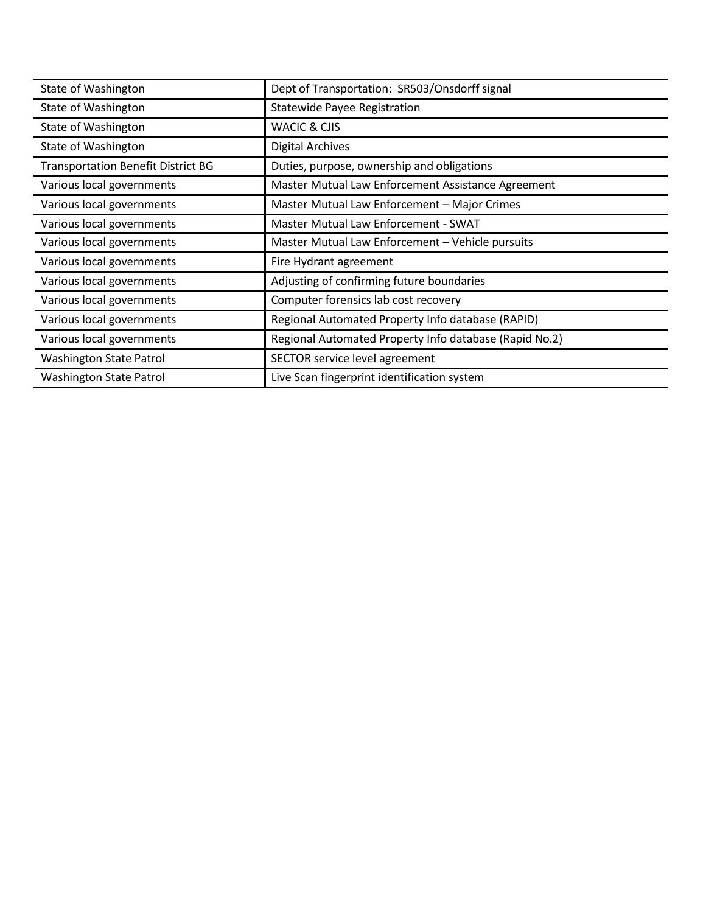| State of Washington                       | Dept of Transportation: SR503/Onsdorff signal          |
|-------------------------------------------|--------------------------------------------------------|
| State of Washington                       | <b>Statewide Payee Registration</b>                    |
| State of Washington                       | <b>WACIC &amp; CJIS</b>                                |
| State of Washington                       | <b>Digital Archives</b>                                |
| <b>Transportation Benefit District BG</b> | Duties, purpose, ownership and obligations             |
| Various local governments                 | Master Mutual Law Enforcement Assistance Agreement     |
| Various local governments                 | Master Mutual Law Enforcement - Major Crimes           |
| Various local governments                 | Master Mutual Law Enforcement - SWAT                   |
| Various local governments                 | Master Mutual Law Enforcement - Vehicle pursuits       |
| Various local governments                 | Fire Hydrant agreement                                 |
| Various local governments                 | Adjusting of confirming future boundaries              |
| Various local governments                 | Computer forensics lab cost recovery                   |
| Various local governments                 | Regional Automated Property Info database (RAPID)      |
| Various local governments                 | Regional Automated Property Info database (Rapid No.2) |
| Washington State Patrol                   | SECTOR service level agreement                         |
| <b>Washington State Patrol</b>            | Live Scan fingerprint identification system            |